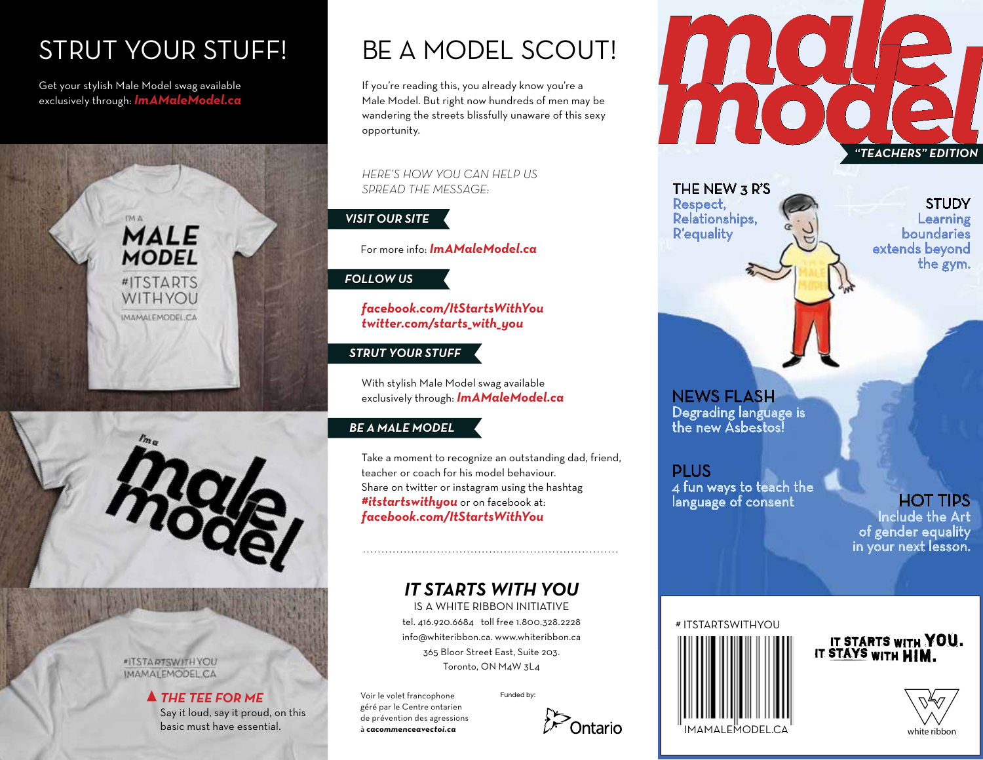# STRUT YOUR STUFF!

Get your stylish Male Model swag available exclusively through: *ImAMaleModel.ca*





**\*ITSTARTSWITH YOU IMAMALEMODEL.CA** 

#### *THE TEE FOR ME* Say it loud, say it proud, on this basic must have essential.

# BE A MODEL SCOUT!

If you're reading this, you already know you're a Male Model. But right now hundreds of men may be wandering the streets blissfully unaware of this sexy opportunity.

*HERE'S HOW YOU CAN HELP US SPREAD THE MESSAGE:*

## *VISIT OUR SITE*

For more info: *ImAMaleModel.ca*

## *FOLLOW US*

*facebook.com/ItStartsWithYou twitter.com/starts\_with\_you*

## *STRUT YOUR STUFF*

With stylish Male Model swag available exclusively through: *ImAMaleModel.ca*

## *BE A MALE MODEL*

Take a moment to recognize an outstanding dad, friend, teacher or coach for his model behaviour. Share on twitter or instagram using the hashtag *#itstartswithyou* or on facebook at: *facebook.com/ItStartsWithYou*

## *IT STARTS WITH YOU*

IS A WHITE RIBBON INITIATIVE tel. 416.920.6684 toll free 1.800.328.2228 info@whiteribbon.ca. www.whiteribbon.ca 365 Bloor Street East, Suite 203. Toronto, ON M4W 3L4

Voir le volet francophone géré par le Centre ontarien de prévention des agressions à *cacommenceavectoi.ca*

Funded by:





THE NEW 3 R'S Respect, Relationships, R'equality

**STUDY** Learning boundaries extends beyond the gym.

NEWS FLASH Degrading language is the new Asbestos!

PLUS 4 fun ways to teach the language of consent

## HOT TIPS

Include the Art of gender equality in your next lesson.



IT STARTS WITH YOU.